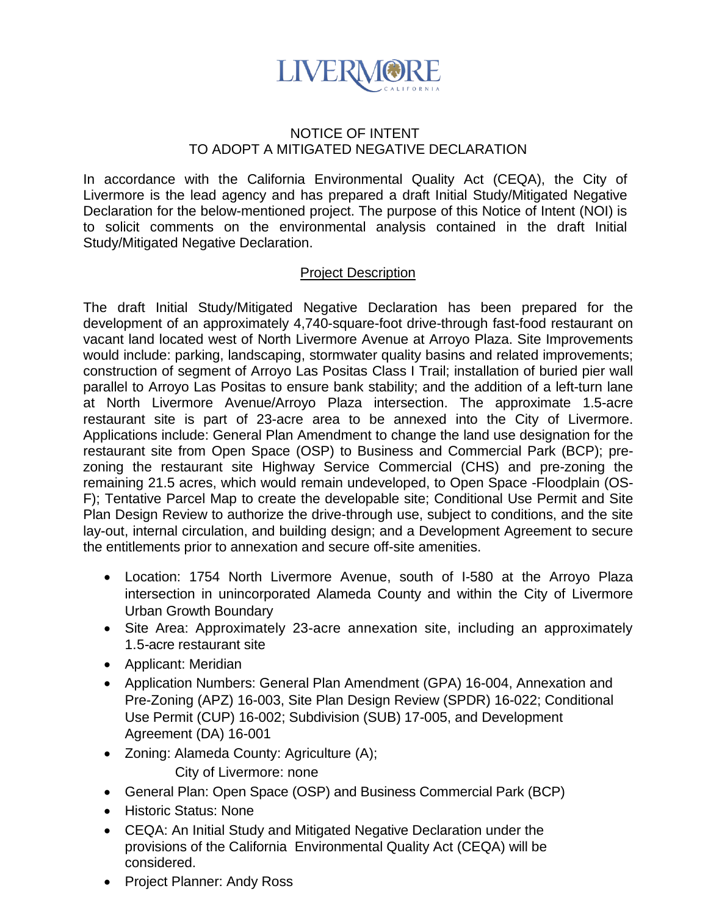

## NOTICE OF INTENT TO ADOPT A MITIGATED NEGATIVE DECLARATION

In accordance with the California Environmental Quality Act (CEQA), the City of Livermore is the lead agency and has prepared a draft Initial Study/Mitigated Negative Declaration for the below-mentioned project. The purpose of this Notice of Intent (NOI) is to solicit comments on the environmental analysis contained in the draft Initial Study/Mitigated Negative Declaration.

## Project Description

The draft Initial Study/Mitigated Negative Declaration has been prepared for the development of an approximately 4,740-square-foot drive-through fast-food restaurant on vacant land located west of North Livermore Avenue at Arroyo Plaza. Site Improvements would include: parking, landscaping, stormwater quality basins and related improvements; construction of segment of Arroyo Las Positas Class I Trail; installation of buried pier wall parallel to Arroyo Las Positas to ensure bank stability; and the addition of a left-turn lane at North Livermore Avenue/Arroyo Plaza intersection. The approximate 1.5-acre restaurant site is part of 23-acre area to be annexed into the City of Livermore. Applications include: General Plan Amendment to change the land use designation for the restaurant site from Open Space (OSP) to Business and Commercial Park (BCP); prezoning the restaurant site Highway Service Commercial (CHS) and pre-zoning the remaining 21.5 acres, which would remain undeveloped, to Open Space -Floodplain (OS-F); Tentative Parcel Map to create the developable site; Conditional Use Permit and Site Plan Design Review to authorize the drive-through use, subject to conditions, and the site lay-out, internal circulation, and building design; and a Development Agreement to secure the entitlements prior to annexation and secure off-site amenities.

- Location: 1754 North Livermore Avenue, south of I-580 at the Arroyo Plaza intersection in unincorporated Alameda County and within the City of Livermore Urban Growth Boundary
- Site Area: Approximately 23-acre annexation site, including an approximately 1.5-acre restaurant site
- Applicant: Meridian
- Application Numbers: General Plan Amendment (GPA) 16-004, Annexation and Pre-Zoning (APZ) 16-003, Site Plan Design Review (SPDR) 16-022; Conditional Use Permit (CUP) 16-002; Subdivision (SUB) 17-005, and Development Agreement (DA) 16-001
- Zoning: Alameda County: Agriculture (A);

City of Livermore: none

- General Plan: Open Space (OSP) and Business Commercial Park (BCP)
- Historic Status: None
- CEQA: An Initial Study and Mitigated Negative Declaration under the provisions of the California Environmental Quality Act (CEQA) will be considered.
- Project Planner: Andy Ross